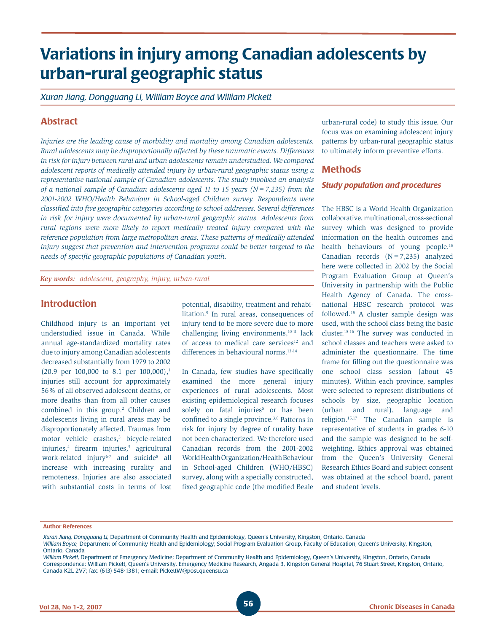# **Variations in injury among Canadian adolescents by urban-rural geographic status**

*Xuran Jiang, Dongguang Li, William Boyce and William Pickett*

# **Abstract**

*Injuries are the leading cause of morbidity and mortality among Canadian adolescents. Rural adolescents may be disproportionally affected by these traumatic events. Differences in risk for injury between rural and urban adolescents remain understudied. We compared adolescent reports of medically attended injury by urban-rural geographic status using a representative national sample of Canadian adolescents. The study involved an analysis of a national sample of Canadian adolescents aged 11 to 15 years (N=7,235) from the 2001-2002 WHO/Health Behaviour in School-aged Children survey. Respondents were classified into five geographic categories according to school addresses. Several differences in risk for injury were documented by urban-rural geographic status. Adolescents from rural regions were more likely to report medically treated injury compared with the reference population from large metropolitan areas. These patterns of medically attended injury suggest that prevention and intervention programs could be better targeted to the needs of specific geographic populations of Canadian youth.*

*Key words: adolescent, geography, injury, urban-rural*

## **Introduction**

Childhood injury is an important yet understudied issue in Canada. While annual age-standardized mortality rates due to injury among Canadian adolescents decreased substantially from 1979 to 2002  $(20.9 \text{ per } 100,000 \text{ to } 8.1 \text{ per } 100,000),$ <sup>1</sup> injuries still account for approximately 56% of all observed adolescent deaths, or more deaths than from all other causes combined in this group.<sup>2</sup> Children and adolescents living in rural areas may be disproportionately affected. Traumas from motor vehicle crashes,<sup>3</sup> bicycle-related injuries,4 firearm injuries,5 agricultural work-related injury<sup>6-7</sup> and suicide<sup>8</sup> all increase with increasing rurality and remoteness. Injuries are also associated with substantial costs in terms of lost

potential, disability, treatment and rehabilitation.9 In rural areas, consequences of injury tend to be more severe due to more challenging living environments,<sup>10-11</sup> lack of access to medical care services<sup>12</sup> and differences in behavioural norms.<sup>13-14</sup>

In Canada, few studies have specifically examined the more general injury experiences of rural adolescents. Most existing epidemiological research focuses solely on fatal injuries<sup>5</sup> or has been confined to a single province.<sup>3,8</sup> Patterns in risk for injury by degree of rurality have not been characterized. We therefore used Canadian records from the 2001-2002 World Health Organization/Health Behaviour in School-aged Children (WHO/HBSC) survey, along with a specially constructed, fixed geographic code (the modified Beale

urban-rural code) to study this issue. Our focus was on examining adolescent injury patterns by urban-rural geographic status to ultimately inform preventive efforts.

## **Methods**

#### *Study population and procedures*

The HBSC is a World Health Organization collaborative, multinational, cross-sectional survey which was designed to provide information on the health outcomes and health behaviours of young people.<sup>15</sup> Canadian records  $(N=7,235)$  analyzed here were collected in 2002 by the Social Program Evaluation Group at Queen's University in partnership with the Public Health Agency of Canada. The crossnational HBSC research protocol was followed.15 A cluster sample design was used, with the school class being the basic cluster.15-16 The survey was conducted in school classes and teachers were asked to administer the questionnaire. The time frame for filling out the questionnaire was one school class session (about 45 minutes). Within each province, samples were selected to represent distributions of schools by size, geographic location (urban and rural), language and religion.15,17 The Canadian sample is representative of students in grades 6-10 and the sample was designed to be selfweighting. Ethics approval was obtained from the Queen's University General Research Ethics Board and subject consent was obtained at the school board, parent and student levels.

**Author References**

*William Boyce,* Department of Community Health and Epidemiology; Social Program Evaluation Group, Faculty of Education, Queen's University, Kingston, Ontario, Canada

*William Pickett,* Department of Emergency Medicine; Department of Community Health and Epidemiology, Queen's University, Kingston, Ontario, Canada Correspondence: William Pickett, Queen's University, Emergency Medicine Research, Angada 3, Kingston General Hospital, 76 Stuart Street, Kingston, Ontario, Canada K2L 2V7; fax: (613) 548-1381; e-mail: PickettW@post.queensu.ca

*Xuran Jiang, Dongguang Li,* Department of Community Health and Epidemiology, Queen's University, Kingston, Ontario, Canada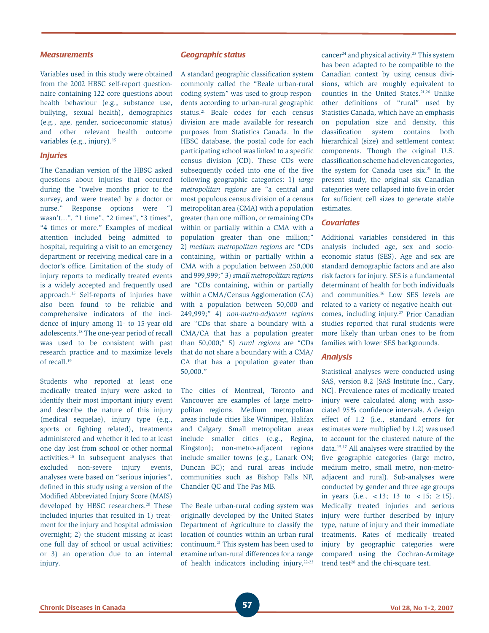#### *Measurements*

Variables used in this study were obtained from the 2002 HBSC self-report questionnaire containing 122 core questions about health behaviour (e.g., substance use, bullying, sexual health), demographics (e.g., age, gender, socioeconomic status) and other relevant health outcome variables (e.g., injury).<sup>15</sup>

### *Injuries*

The Canadian version of the HBSC asked questions about injuries that occurred during the "twelve months prior to the survey, and were treated by a doctor or nurse." Response options were "I wasn't...", "1 time", "2 times", "3 times", "4 times or more." Examples of medical attention included being admitted to hospital, requiring a visit to an emergency department or receiving medical care in a doctor's office. Limitation of the study of injury reports to medically treated events is a widely accepted and frequently used approach.15 Self-reports of injuries have also been found to be reliable and comprehensive indicators of the incidence of injury among 11- to 15-year-old adolescents.18 The one-year period of recall was used to be consistent with past research practice and to maximize levels of recall.19

Students who reported at least one medically treated injury were asked to identify their most important injury event and describe the nature of this injury (medical sequelae), injury type (e.g., sports or fighting related), treatments administered and whether it led to at least one day lost from school or other normal activities.15 In subsequent analyses that excluded non-severe injury events, analyses were based on "serious injuries", defined in this study using a version of the Modified Abbreviated Injury Score (MAIS) developed by HBSC researchers.<sup>20</sup> These included injuries that resulted in 1) treatment for the injury and hospital admission overnight; 2) the student missing at least one full day of school or usual activities; or 3) an operation due to an internal injury.

### *Geographic status*

A standard geographic classification system commonly called the "Beale urban-rural coding system" was used to group respondents according to urban-rural geographic status.<sup>21</sup> Beale codes for each census division are made available for research purposes from Statistics Canada. In the HBSC database, the postal code for each participating school was linked to a specific census division (CD). These CDs were subsequently coded into one of the five following geographic categories: 1) *large metropolitan regions* are "a central and most populous census division of a census metropolitan area (CMA) with a population greater than one million, or remaining CDs within or partially within a CMA with a population greater than one million;" 2) *medium metropolitan regions* are "CDs containing, within or partially within a CMA with a population between 250,000 and 999,999;" 3) *small metropolitan regions* are "CDs containing, within or partially within a CMA/Census Agglomeration (CA) with a population between 50,000 and 249,999;" 4) *non-metro-adjacent regions*  are "CDs that share a boundary with a CMA/CA that has a population greater than 50,000;" 5) *rural regions* are "CDs that do not share a boundary with a CMA/ CA that has a population greater than 50,000."

The cities of Montreal, Toronto and Vancouver are examples of large metropolitan regions. Medium metropolitan areas include cities like Winnipeg, Halifax and Calgary. Small metropolitan areas include smaller cities (e.g., Regina, Kingston); non-metro-adjacent regions include smaller towns (e.g., Lanark ON; Duncan BC); and rural areas include communities such as Bishop Falls NF, Chandler QC and The Pas MB.

The Beale urban-rural coding system was originally developed by the United States Department of Agriculture to classify the location of counties within an urban-rural continuum.21 This system has been used to examine urban-rural differences for a range of health indicators including injury, $22-23$  cancer24 and physical activity.25 This system has been adapted to be compatible to the Canadian context by using census divisions, which are roughly equivalent to counties in the United States.21,26 Unlike other definitions of "rural" used by Statistics Canada, which have an emphasis on population size and density, this classification system contains both hierarchical (size) and settlement context components. Though the original U.S. classification scheme had eleven categories, the system for Canada uses six.21 In the present study, the original six Canadian categories were collapsed into five in order for sufficient cell sizes to generate stable estimates.

## *Covariates*

Additional variables considered in this analysis included age, sex and socioeconomic status (SES). Age and sex are standard demographic factors and are also risk factors for injury. SES is a fundamental determinant of health for both individuals and communities.16 Low SES levels are related to a variety of negative health outcomes, including injury.<sup>27</sup> Prior Canadian studies reported that rural students were more likely than urban ones to be from families with lower SES backgrounds.

## *Analysis*

Statistical analyses were conducted using SAS, version 8.2 [SAS Institute Inc., Cary, NC]. Prevalence rates of medically treated injury were calculated along with associated 95% confidence intervals. A design effect of 1.2 (i.e., standard errors for estimates were multiplied by 1.2) was used to account for the clustered nature of the data.15,17 All analyses were stratified by the five geographic categories (large metro, medium metro, small metro, non-metroadjacent and rural). Sub-analyses were conducted by gender and three age groups in years (i.e., <13; 13 to <15;  $\geq 15$ ). Medically treated injuries and serious injury were further described by injury type, nature of injury and their immediate treatments. Rates of medically treated injury by geographic categories were compared using the Cochran-Armitage trend test<sup>28</sup> and the chi-square test.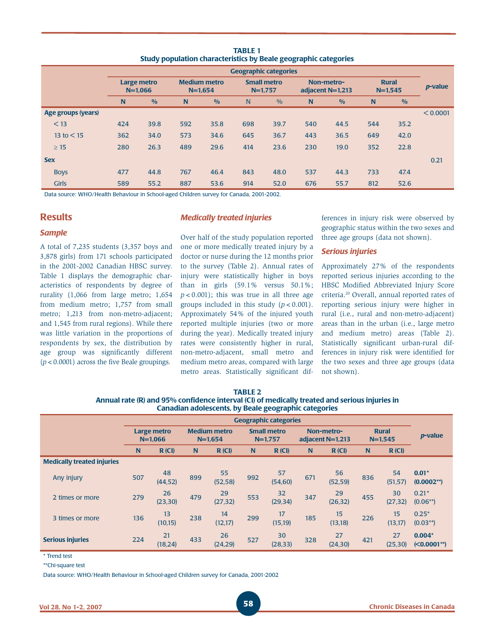| <u>Study population characteristics by beale geographic categories</u> |                              |               |                                    |               |                                 |               |                                |               |                             |               |                 |  |
|------------------------------------------------------------------------|------------------------------|---------------|------------------------------------|---------------|---------------------------------|---------------|--------------------------------|---------------|-----------------------------|---------------|-----------------|--|
|                                                                        | <b>Geographic categories</b> |               |                                    |               |                                 |               |                                |               |                             |               |                 |  |
|                                                                        | Large metro<br>$N = 1.066$   |               | <b>Medium metro</b><br>$N = 1.654$ |               | <b>Small metro</b><br>$N=1,757$ |               | Non-metro-<br>adjacent N=1,213 |               | <b>Rural</b><br>$N = 1,545$ |               | <i>p</i> -value |  |
|                                                                        | N                            | $\frac{0}{0}$ | N                                  | $\frac{0}{0}$ | N                               | $\frac{0}{0}$ | N                              | $\frac{0}{0}$ | N                           | $\frac{0}{0}$ |                 |  |
| <b>Age groups (years)</b>                                              |                              |               |                                    |               |                                 |               |                                |               |                             |               | < 0.0001        |  |
| $<$ 13                                                                 | 424                          | 39.8          | 592                                | 35.8          | 698                             | 39.7          | 540                            | 44.5          | 544                         | 35.2          |                 |  |
| 13 to $<$ 15                                                           | 362                          | 34.0          | 573                                | 34.6          | 645                             | 36.7          | 443                            | 36.5          | 649                         | 42.0          |                 |  |
| $\geq 15$                                                              | 280                          | 26.3          | 489                                | 29.6          | 414                             | 23.6          | 230                            | 19.0          | 352                         | 22.8          |                 |  |
| <b>Sex</b>                                                             |                              |               |                                    |               |                                 |               |                                |               |                             |               | 0.21            |  |
| <b>Boys</b>                                                            | 477                          | 44.8          | 767                                | 46.4          | 843                             | 48.0          | 537                            | 44.3          | 733                         | 47.4          |                 |  |
| <b>Girls</b>                                                           | 589                          | 55.2          | 887                                | 53.6          | 914                             | 52.0          | 676                            | 55.7          | 812                         | 52.6          |                 |  |

**TABLE 1 Study population characteristics by Beale geographic categories**

Data source: WHO/Health Behaviour in School-aged Children survey for Canada, 2001-2002.

## **Results**

### *Sample*

A total of 7,235 students (3,357 boys and 3,878 girls) from 171 schools participated in the 2001-2002 Canadian HBSC survey. Table 1 displays the demographic characteristics of respondents by degree of rurality (1,066 from large metro; 1,654 from medium metro; 1,757 from small metro; 1,213 from non-metro-adjacent; and 1,545 from rural regions). While there was little variation in the proportions of respondents by sex, the distribution by age group was significantly different (*p*<0.0001) across the five Beale groupings.

3 times or more 136 13

**Serious injuries** <sup>224</sup> <sup>21</sup>

#### *Medically treated injuries*

Over half of the study population reported one or more medically treated injury by a doctor or nurse during the 12 months prior to the survey (Table 2). Annual rates of injury were statistically higher in boys than in girls (59.1% versus 50.1%;  $p < 0.001$ ); this was true in all three age groups included in this study  $(p < 0.001)$ . Approximately 54% of the injured youth reported multiple injuries (two or more during the year). Medically treated injury rates were consistently higher in rural, non-metro-adjacent, small metro and medium metro areas, compared with large metro areas. Statistically significant differences in injury risk were observed by geographic status within the two sexes and three age groups (data not shown).

#### *Serious injuries*

Approximately 27% of the respondents reported serious injuries according to the HBSC Modified Abbreviated Injury Score criteria.20 Overall, annual reported rates of reporting serious injury were higher in rural (i.e., rural and non-metro-adjacent) areas than in the urban (i.e., large metro and medium metro) areas (Table 2). Statistically significant urban-rural differences in injury risk were identified for the two sexes and three age groups (data not shown).

| <b>Canadian adolescents, by Beale geographic categories</b> |                              |                |                                    |                |                                 |                |                                |                |                           |                |                         |  |
|-------------------------------------------------------------|------------------------------|----------------|------------------------------------|----------------|---------------------------------|----------------|--------------------------------|----------------|---------------------------|----------------|-------------------------|--|
|                                                             | <b>Geographic categories</b> |                |                                    |                |                                 |                |                                |                |                           |                |                         |  |
|                                                             | Large metro<br>$N = 1.066$   |                | <b>Medium metro</b><br>$N = 1.654$ |                | <b>Small metro</b><br>$N=1,757$ |                | Non-metro-<br>adjacent N=1,213 |                | <b>Rural</b><br>$N=1,545$ |                | p-value                 |  |
|                                                             | N                            | R (CI)         | N                                  | R(CI)          | N                               | R(CI)          | N <sub>1</sub>                 | R (CI)         | N                         | R(CI)          |                         |  |
| <b>Medically treated injuries</b>                           |                              |                |                                    |                |                                 |                |                                |                |                           |                |                         |  |
| Any injury                                                  | 507                          | 48<br>(44, 52) | 899                                | 55<br>(52, 58) | 992                             | 57<br>(54, 60) | 671                            | 56<br>(52, 59) | 836                       | 54<br>(51, 57) | $0.01*$<br>$(0.0002**)$ |  |
| 2 times or more                                             | 279                          | 26<br>(23, 30) | 479                                | 29<br>(27, 32) | 553                             | 32<br>(29, 34) | 347                            | 29<br>(26, 32) | 455                       | 30<br>(27, 32) | $0.21*$<br>$(0.06**)$   |  |

 $\begin{array}{cc}\n 14 & 299 & 17 \\
(12,17) & 299 & (15,1)\n \end{array}$ 

 $\begin{array}{cccc} 26 & & 30 \\ (24,29) & & 527 & (28,3) \end{array}$ 

 $\begin{array}{cc}\n 17 & 185 \\
15,19\n \end{array}$  185  $\begin{array}{cc}\n 15 \\
13,18\n \end{array}$ 

 $\begin{array}{c}\n 30 \ \hline\n (28,33)\n \end{array}$   $\begin{array}{c}\n 328 \ \hline\n (24,3)\n \end{array}$ 

 $\begin{array}{cc} 15 & 226 & 15 \\ (13,18) & 226 & (13,1) \end{array}$ 

 $27$ <br>(24,30) 421 (25,3

(13,17)

(25,30)

0.25\*  $(0.03**)$ 

**0.004\* (<0.0001\*\*)**

**TABLE 2 Annual rate (R) and 95% confidence interval (CI) of medically treated and serious injuries in**

\* Trend test

\*\*Chi-square test

Data source: WHO/Health Behaviour in School-aged Children survey for Canada, 2001-2002

 $\begin{array}{cccc} 13 & 238 & 14 \\ (10,15) & & 238 & (12,1) \end{array}$ 

 $\begin{array}{@{}c@{\hspace{1em}}c@{\hspace{1em}}c@{\hspace{1em}}c@{\hspace{1em}}c@{\hspace{1em}}c@{\hspace{1em}}c@{\hspace{1em}}c@{\hspace{1em}}c@{\hspace{1em}}c@{\hspace{1em}}c@{\hspace{1em}}c@{\hspace{1em}}c@{\hspace{1em}}c@{\hspace{1em}}c@{\hspace{1em}}c@{\hspace{1em}}c@{\hspace{1em}}c@{\hspace{1em}}c@{\hspace{1em}}c@{\hspace{1em}}c@{\hspace{1em}}c@{\hspace{1em}}c@{\hspace{1em}}c@{\hspace{$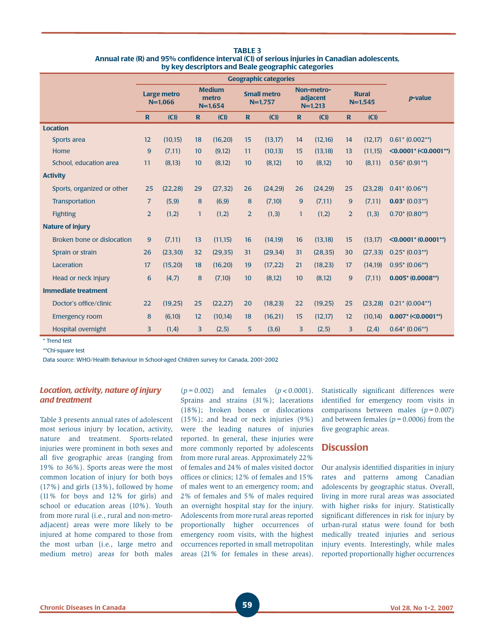|                            | <b>Geographic categories</b>    |          |                                     |          |                                 |          |                                     |          |                           |          |                                     |
|----------------------------|---------------------------------|----------|-------------------------------------|----------|---------------------------------|----------|-------------------------------------|----------|---------------------------|----------|-------------------------------------|
|                            | <b>Large metro</b><br>$N=1.066$ |          | <b>Medium</b><br>metro<br>$N=1,654$ |          | <b>Small metro</b><br>$N=1,757$ |          | Non-metro-<br>adjacent<br>$N=1,213$ |          | <b>Rural</b><br>$N=1,545$ |          | <i>p</i> -value                     |
|                            | $\mathbf R$                     | (CI)     | $\mathbf{R}$                        | (CI)     | $\mathbf R$                     | (CI)     | $\mathbf{R}$                        | (CI)     | $\mathbf R$               | (CI)     |                                     |
| <b>Location</b>            |                                 |          |                                     |          |                                 |          |                                     |          |                           |          |                                     |
| Sports area                | 12                              | (10, 15) | 18                                  | (16,20)  | 15                              | (13, 17) | 14                                  | (12,16)  | 14                        | (12,17)  | $0.61$ * $(0.002**)$                |
| Home                       | 9                               | (7,11)   | 10                                  | (9,12)   | 11                              | (10, 13) | 15                                  | (13, 18) | 13                        | (11,15)  | $\leq 0.0001$ * ( $\leq 0.0001$ **) |
| School, education area     | 11                              | (8, 13)  | 10                                  | (8,12)   | 10                              | (8,12)   | 10                                  | (8,12)   | 10                        | (8,11)   | $0.56*(0.91**)$                     |
| <b>Activity</b>            |                                 |          |                                     |          |                                 |          |                                     |          |                           |          |                                     |
| Sports, organized or other | 25                              | (22, 28) | 29                                  | (27, 32) | 26                              | (24, 29) | 26                                  | (24, 29) | 25                        | (23, 28) | $0.41* (0.06**)$                    |
| Transportation             | $\overline{7}$                  | (5, 9)   | 8                                   | (6, 9)   | 8                               | (7,10)   | 9                                   | (7,11)   | 9                         | (7,11)   | $0.03$ * (0.03**)                   |
| <b>Fighting</b>            | $\overline{2}$                  | (1,2)    | $\mathbf{1}$                        | (1,2)    | $\overline{2}$                  | (1,3)    | $\mathbf{1}$                        | (1,2)    | $\overline{2}$            | (1,3)    | $0.70* (0.80**)$                    |
| <b>Nature of injury</b>    |                                 |          |                                     |          |                                 |          |                                     |          |                           |          |                                     |
| Broken bone or dislocation | 9                               | (7,11)   | 13                                  | (11,15)  | 16                              | (14, 19) | 16                                  | (13, 18) | 15                        | (13,17)  | $\leq 0.0001$ * (0.0001**)          |
| Sprain or strain           | 26                              | (23, 30) | 32                                  | (29, 35) | 31                              | (29, 34) | 31                                  | (28, 35) | 30                        | (27, 33) | $0.25$ * (0.03**)                   |
| Laceration                 | 17                              | (15,20)  | 18                                  | (16,20)  | 19                              | (17, 22) | 21                                  | (18, 23) | 17                        | (14, 19) | $0.95* (0.06**)$                    |
| Head or neck injury        | $6\phantom{1}6$                 | (4,7)    | 8                                   | (7,10)   | 10                              | (8,12)   | 10                                  | (8,12)   | 9                         | (7,11)   | $0.005$ * (0.0008**)                |
| <b>Immediate treatment</b> |                                 |          |                                     |          |                                 |          |                                     |          |                           |          |                                     |
| Doctor's office/clinic     | 22                              | (19,25)  | 25                                  | (22, 27) | 20                              | (18,23)  | 22                                  | (19,25)  | 25                        | (23, 28) | $0.21$ * $(0.004**)$                |
| <b>Emergency room</b>      | 8                               | (6,10)   | 12                                  | (10, 14) | 18                              | (16, 21) | 15                                  | (12,17)  | 12                        | (10, 14) | $0.007$ * (< $0.0001$ **)           |
| <b>Hospital overnight</b>  | 3                               | (1,4)    | 3                                   | (2,5)    | 5                               | (3,6)    | 3                                   | (2,5)    | 3                         | (2,4)    | $0.64* (0.06**)$                    |

**TABLE 3 Annual rate (R) and 95% confidence interval (CI) of serious injuries in Canadian adolescents, by key descriptors and Beale geographic categories**

\* Trend test

\*\*Chi-square test

Data source: WHO/Health Behaviour in School-aged Children survey for Canada, 2001-2002

## *Location, activity, nature of injury and treatment*

Table 3 presents annual rates of adolescent most serious injury by location, activity, nature and treatment. Sports-related injuries were prominent in both sexes and all five geographic areas (ranging from 19% to 36%). Sports areas were the most common location of injury for both boys (17%) and girls (13%), followed by home (11% for boys and 12% for girls) and school or education areas (10%). Youth from more rural (i.e., rural and non-metroadjacent) areas were more likely to be injured at home compared to those from the most urban (i.e., large metro and medium metro) areas for both males

(*p*=0.002) and females (*p*<0.0001). Sprains and strains (31%); lacerations (18%); broken bones or dislocations (15%); and head or neck injuries (9%) were the leading natures of injuries reported. In general, these injuries were more commonly reported by adolescents from more rural areas. Approximately 22% of females and 24% of males visited doctor offices or clinics; 12% of females and 15% of males went to an emergency room; and 2% of females and 5% of males required an overnight hospital stay for the injury. Adolescents from more rural areas reported proportionally higher occurrences of emergency room visits, with the highest occurrences reported in small metropolitan areas (21% for females in these areas). Statistically significant differences were identified for emergency room visits in comparisons between males (*p*=0.007) and between females  $(p = 0.0006)$  from the five geographic areas.

# **Discussion**

Our analysis identified disparities in injury rates and patterns among Canadian adolescents by geographic status. Overall, living in more rural areas was associated with higher risks for injury. Statistically significant differences in risk for injury by urban-rural status were found for both medically treated injuries and serious injury events. Interestingly, while males reported proportionally higher occurrences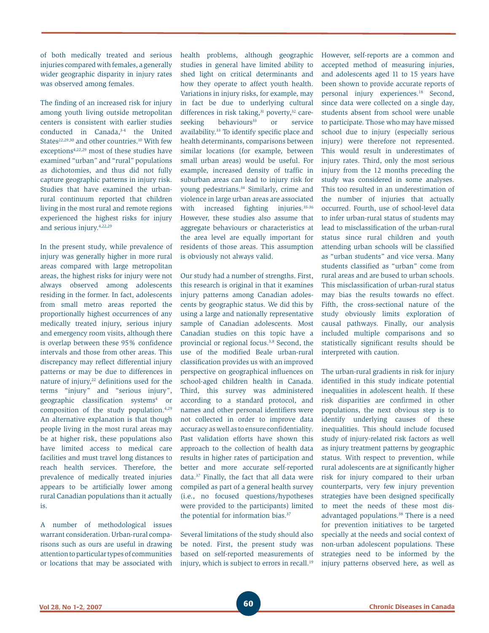of both medically treated and serious injuries compared with females, a generally wider geographic disparity in injury rates was observed among females.

The finding of an increased risk for injury among youth living outside metropolitan centers is consistent with earlier studies conducted in Canada,3-4 the United States<sup>22,29,30</sup> and other countries.<sup>10</sup> With few exceptions4,22,29 most of these studies have examined "urban" and "rural" populations as dichotomies, and thus did not fully capture geographic patterns in injury risk. Studies that have examined the urbanrural continuum reported that children living in the most rural and remote regions experienced the highest risks for injury and serious injury.4,22,29

In the present study, while prevalence of injury was generally higher in more rural areas compared with large metropolitan areas, the highest risks for injury were not always observed among adolescents residing in the former. In fact, adolescents from small metro areas reported the proportionally highest occurrences of any medically treated injury, serious injury and emergency room visits, although there is overlap between these 95% confidence intervals and those from other areas. This discrepancy may reflect differential injury patterns or may be due to differences in nature of injury,<sup>22</sup> definitions used for the terms "injury" and "serious injury", geographic classification systems4 or composition of the study population.4,29 An alternative explanation is that though people living in the most rural areas may be at higher risk, these populations also have limited access to medical care facilities and must travel long distances to reach health services. Therefore, the prevalence of medically treated injuries appears to be artificially lower among rural Canadian populations than it actually is.

A number of methodological issues warrant consideration. Urban-rural comparisons such as ours are useful in drawing attention to particular types of communities or locations that may be associated with health problems, although geographic studies in general have limited ability to shed light on critical determinants and how they operate to affect youth health. Variations in injury risks, for example, may in fact be due to underlying cultural differences in risk taking,<sup>31</sup> poverty,<sup>32</sup> careseeking behaviours<sup>33</sup> or service availability.33 To identify specific place and health determinants, comparisons between similar locations (for example, between small urban areas) would be useful. For example, increased density of traffic in suburban areas can lead to injury risk for young pedestrians.34 Similarly, crime and violence in large urban areas are associated with increased fighting injuries.<sup>35-36</sup> However, these studies also assume that aggregate behaviours or characteristics at the area level are equally important for residents of those areas. This assumption is obviously not always valid.

Our study had a number of strengths. First, this research is original in that it examines injury patterns among Canadian adolescents by geographic status. We did this by using a large and nationally representative sample of Canadian adolescents. Most Canadian studies on this topic have a provincial or regional focus.<sup>3,8</sup> Second, the use of the modified Beale urban-rural classification provides us with an improved perspective on geographical influences on school-aged children health in Canada. Third, this survey was administered according to a standard protocol, and names and other personal identifiers were not collected in order to improve data accuracy as well as to ensure confidentiality. Past validation efforts have shown this approach to the collection of health data results in higher rates of participation and better and more accurate self-reported data.37 Finally, the fact that all data were compiled as part of a general health survey (i.e., no focused questions/hypotheses were provided to the participants) limited the potential for information bias.<sup>37</sup>

Several limitations of the study should also be noted. First, the present study was based on self-reported measurements of injury, which is subject to errors in recall.<sup>19</sup>

However, self-reports are a common and accepted method of measuring injuries, and adolescents aged 11 to 15 years have been shown to provide accurate reports of personal injury experiences.18 Second, since data were collected on a single day, students absent from school were unable to participate. Those who may have missed school due to injury (especially serious injury) were therefore not represented. This would result in underestimates of injury rates. Third, only the most serious injury from the 12 months preceding the study was considered in some analyses. This too resulted in an underestimation of the number of injuries that actually occurred. Fourth, use of school-level data to infer urban-rural status of students may lead to misclassification of the urban-rural status since rural children and youth attending urban schools will be classified as "urban students" and vice versa. Many students classified as "urban" come from rural areas and are bused to urban schools. This misclassification of urban-rural status may bias the results towards no effect. Fifth, the cross-sectional nature of the study obviously limits exploration of causal pathways. Finally, our analysis included multiple comparisons and so statistically significant results should be interpreted with caution.

The urban-rural gradients in risk for injury identified in this study indicate potential inequalities in adolescent health. If these risk disparities are confirmed in other populations, the next obvious step is to identify underlying causes of these inequalities. This should include focused study of injury-related risk factors as well as injury treatment patterns by geographic status. With respect to prevention, while rural adolescents are at significantly higher risk for injury compared to their urban counterparts, very few injury prevention strategies have been designed specifically to meet the needs of these most disadvantaged populations.<sup>38</sup> There is a need for prevention initiatives to be targeted specially at the needs and social context of non-urban adolescent populations. These strategies need to be informed by the injury patterns observed here, as well as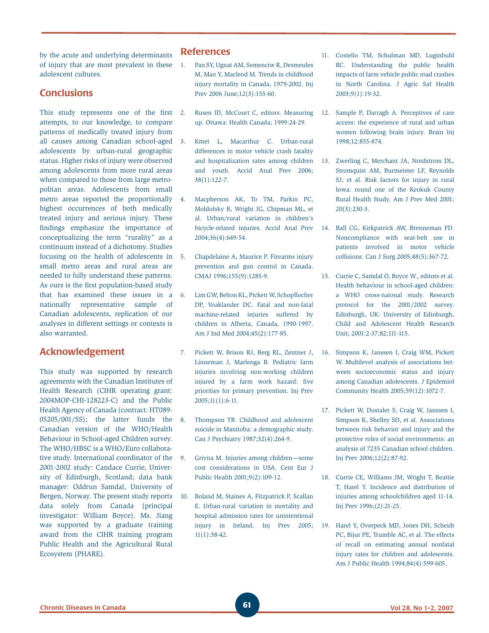by the acute and underlying determinants of injury that are most prevalent in these adolescent cultures.

# **Conclusions**

This study represents one of the first 2. attempts, to our knowledge, to compare patterns of medically treated injury from all causes among Canadian school-aged adolescents by urban-rural geographic status. Higher risks of injury were observed among adolescents from more rural areas when compared to those from large metropolitan areas. Adolescents from small metro areas reported the proportionally 4. highest occurrences of both medically treated injury and serious injury. These findings emphasize the importance of conceptualizing the term "rurality" as a continuum instead of a dichotomy. Studies focusing on the health of adolescents in small metro areas and rural areas are needed to fully understand these patterns. As ours is the first population-based study that has examined these issues in a nationally representative sample of Canadian adolescents, replication of our analyses in different settings or contexts is also warranted.

## **Acknowledgement**

This study was supported by research agreements with the Canadian Institutes of Health Research (CIHR operating grant: 2004MOP-CHI-128223-C) and the Public Health Agency of Canada (contract: HT089- 05205/001/SS); the latter funds the Canadian version of the WHO/Health Behaviour in School-aged Children survey. The WHO/HBSC is a WHO/Euro collaborative study. International coordinator of the 9. 2001-2002 study: Candace Currie, University of Edinburgh, Scotland; data bank manager: Oddrun Samdal, University of Bergen, Norway. The present study reports data solely from Canada (principal investigator: William Boyce). Ms. Jiang was supported by a graduate training award from the CIHR training program Public Health and the Agricultural Rural Ecosystem (PHARE).

## **References**

- 1. Pan SY, Ugnat AM, Semenciw R, Desmeules M, Mao Y, Macleod M. Trends in childhood injury mortality in Canada, 1979-2002. Inj Prev 2006 June;12(3):155-60.
- 2. Rusen ID, McCourt C, editors. Measuring 12. Sample P, Darragh A. Perceptives of care up. Ottawa: Health Canada; 1999:24-29.
- 3. Kmet L, Macarthur C. Urban-rural differences in motor vehicle crash fatality and hospitalization rates among children and youth. Accid Anal Prev 2006; 38(1):122-7.
	- Macpherson AK, To TM, Parkin PC, Moldofsky B, Wright JG, Chipman ML, et al. Urban/rural variation in children's bicycle-related injuries. Accid Anal Prev 2004;36(4):649-54.
	- 5. Chapdelaine A, Maurice P. Firearms injury prevention and gun control in Canada. CMAJ 1996;155(9):1285-9.
- 6. Lim GW, Belton KL, Pickett W, Schopflocher DP, Voaklander DC. Fatal and non-fatal machine-related injuries suffered by children in Alberta, Canada, 1990-1997. Am J Ind Med 2004;45(2):177-85.
- 7. Pickett W, Brison RJ, Berg RL, Zentner J, Linneman J, Marlenga B. Pediatric farm injuries involving non-working children injured by a farm work hazard: five priorities for primary prevention. Inj Prev 2005;11(1):6-11.
- 8. Thompson TR. Childhood and adolescent suicide in Manitoba: a demographic study. Can J Psychiatry 1987;32(4):264-9.
- 9. Grivna M. Injuries among children—some cost considerations in USA. Cent Eur J Public Health 2001;9(2):109-12.
- 10. Boland M, Staines A, Fitzpatrick P, Scallan E. Urban-rural variation in mortality and hospital admission rates for unintentional injury in Ireland. Inj Prev 2005; 11(1):38-42.
- 11. Costello TM, Schulman MD, Luginbuhl RC. Understanding the public health impacts of farm vehicle public road crashes in North Carolina. J Agric Saf Health 2003;9(1):19-32.
- access: the experience of rural and urban women following brain injury. Brain Inj 1998;12:855-874.
- 13. Zwerling C, Merchant JA, Nordstrom DL, Stromquist AM, Burmeister LF, Reynolds SJ, et al. Risk factors for injury in rural Iowa: round one of the Keokuk County Rural Health Study. Am J Prev Med 2001; 20(3):230-3.
- 14. Ball CG, Kirkpatrick AW, Brenneman FD. Noncompliance with seat-belt use in patients involved in motor vehicle collisions. Can J Surg 2005;48(5):367-72.
- 15. Currie C, Samdal O, Boyce W., editors et al. Health behaviour in school-aged children: a WHO cross-naional study. Research protocol for the 2001/2002 survey. Edinburgh, UK: University of Edinburgh, Child and Adolescent Health Research Unit; 2001:2-37;82;111-115.
- 16. Simpson K, Janssen I, Craig WM, Pickett W. Multilevel analysis of associations between socioeconomic status and injury among Canadian adolescents. J Epidemiol Community Health 2005;59(12):1072-7.
- 17. Pickett W, Dostaler S, Craig W, Janssen I, Simpson K, Shelley SD, et al. Associations between risk behavior and injury and the protective roles of social environments: an analysis of 7235 Canadian school children. Inj Prev 2006;12(2):87-92.
- 18. Currie CE, Williams JM, Wright T, Beattie T, Harel Y. Incidence and distribution of injuries among schoolchildren aged 11-14. Inj Prev 1996;(2):21-25.
- 19. Harel Y, Overpeck MD, Jones DH, Scheidt PC, Bijur PE, Trumble AC, et al. The effects of recall on estimating annual nonfatal injury rates for children and adolescents. Am J Public Health 1994;84(4):599-605.